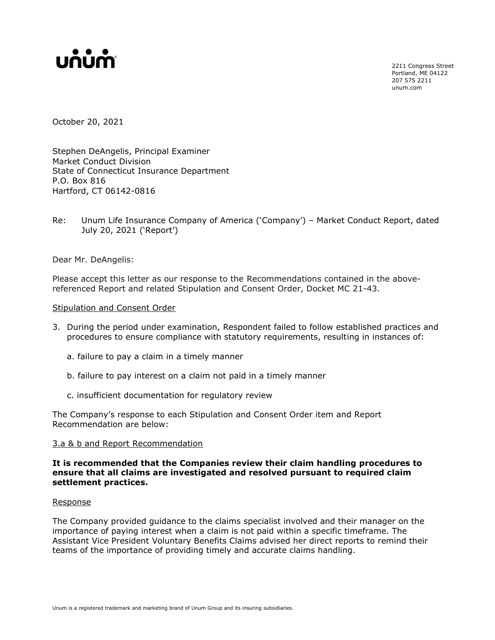

2211 Congress Street Portland, ME 04122 207 575 2211 unum.com

October 20, 2021

Stephen DeAngelis, Principal Examiner Market Conduct Division State of Connecticut Insurance Department P.O. Box 816 Hartford, CT 06142-0816

Re: Unum Life Insurance Company of America ('Company') – Market Conduct Report, dated July 20, 2021 ('Report')

Dear Mr. DeAngelis:

Please accept this letter as our response to the Recommendations contained in the abovereferenced Report and related Stipulation and Consent Order, Docket MC 21-43.

### Stipulation and Consent Order

- 3. During the period under examination, Respondent failed to follow established practices and procedures to ensure compliance with statutory requirements, resulting in instances of:
	- a. failure to pay a claim in a timely manner
	- b. failure to pay interest on a claim not paid in a timely manner
	- c. insufficient documentation for regulatory review

The Company's response to each Stipulation and Consent Order item and Report Recommendation are below:

#### 3.a & b and Report Recommendation

**It is recommended that the Companies review their claim handling procedures to ensure that all claims are investigated and resolved pursuant to required claim settlement practices.**

#### Response

The Company provided guidance to the claims specialist involved and their manager on the importance of paying interest when a claim is not paid within a specific timeframe. The Assistant Vice President Voluntary Benefits Claims advised her direct reports to remind their teams of the importance of providing timely and accurate claims handling.